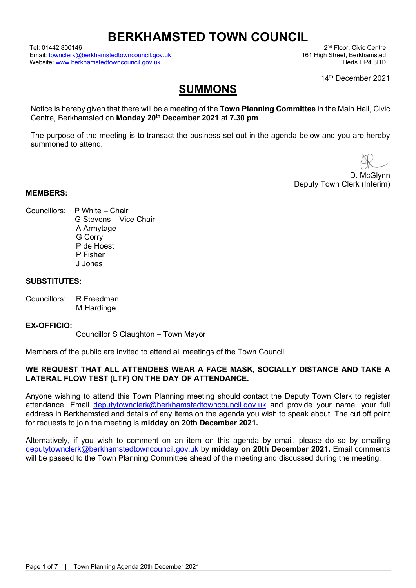# **BERKHAMSTED TOWN COUNCIL**

Tel: 01442 800146 2nd Floor, Civic Centre<br>Email: townclerk@berkhamstedtowncouncil.gov.uk 2nd Floor, 2nd Floor, Civic Centre Email: <u>townclerk@berkhamstedtowncouncil.gov.uk</u> 161 High Street, Berkhamsted<br>Website: www.berkhamstedtowncouncil.gov.uk 161 High Street, Berkhamstedtowncouncil.gov.uk Website: [www.berkhamstedtowncouncil.gov.uk](http://www.berkhamstedtowncouncil.gov.uk/)

14<sup>th</sup> December 2021

## **SUMMONS**

Notice is hereby given that there will be a meeting of the **Town Planning Committee** in the Main Hall, Civic Centre, Berkhamsted on **Monday 20th December 2021** at **7.30 pm**.

The purpose of the meeting is to transact the business set out in the agenda below and you are hereby summoned to attend.

D. McGlynn Deputy Town Clerk (Interim)

#### **MEMBERS:**

- Councillors: P White Chair
- G Stevens Vice Chair A Armytage G Corry P de Hoest P Fisher J Jones

#### **SUBSTITUTES:**

Councillors: R Freedman M Hardinge

#### **EX-OFFICIO:**

Councillor S Claughton – Town Mayor

Members of the public are invited to attend all meetings of the Town Council.

#### **WE REQUEST THAT ALL ATTENDEES WEAR A FACE MASK, SOCIALLY DISTANCE AND TAKE A LATERAL FLOW TEST (LTF) ON THE DAY OF ATTENDANCE.**

Anyone wishing to attend this Town Planning meeting should contact the Deputy Town Clerk to register attendance. Email [deputytownclerk@berkhamstedtowncouncil.gov.uk](mailto:deputytownclerk@berkhamstedtowncouncil.gov.uk) and provide your name, your full address in Berkhamsted and details of any items on the agenda you wish to speak about. The cut off point for requests to join the meeting is **midday on 20th December 2021.**

Alternatively, if you wish to comment on an item on this agenda by email, please do so by emailing [deputytownclerk@berkhamstedtowncouncil.gov.uk](mailto:deputytownclerk@berkhamstedtowncouncil.gov.uk) by **midday on 20th December 2021.** Email comments will be passed to the Town Planning Committee ahead of the meeting and discussed during the meeting.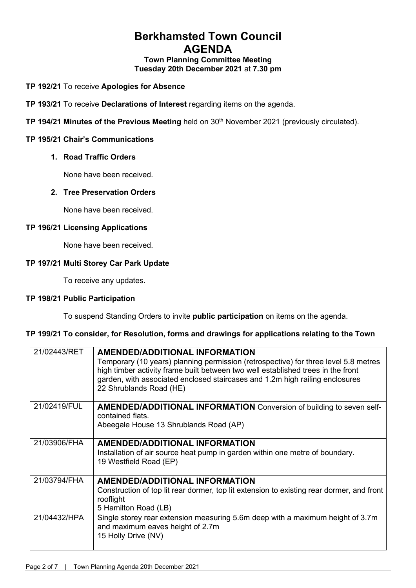## **Berkhamsted Town Council AGENDA**

**Town Planning Committee Meeting Tuesday 20th December 2021** at **7.30 pm**

**TP 192/21** To receive **Apologies for Absence**

**TP 193/21** To receive **Declarations of Interest** regarding items on the agenda.

**TP 194/21 Minutes of the Previous Meeting** held on 30<sup>th</sup> November 2021 (previously circulated).

#### **TP 195/21 Chair's Communications**

#### **1. Road Traffic Orders**

None have been received.

#### **2. Tree Preservation Orders**

None have been received.

#### **TP 196/21 Licensing Applications**

None have been received.

#### **TP 197/21 Multi Storey Car Park Update**

To receive any updates.

#### **TP 198/21 Public Participation**

To suspend Standing Orders to invite **public participation** on items on the agenda.

#### **TP 199/21 To consider, for Resolution, forms and drawings for applications relating to the Town**

| 21/02443/RET | <b>AMENDED/ADDITIONAL INFORMATION</b>                                                                                                                                                                                                                                              |
|--------------|------------------------------------------------------------------------------------------------------------------------------------------------------------------------------------------------------------------------------------------------------------------------------------|
|              | Temporary (10 years) planning permission (retrospective) for three level 5.8 metres<br>high timber activity frame built between two well established trees in the front<br>garden, with associated enclosed staircases and 1.2m high railing enclosures<br>22 Shrublands Road (HE) |
| 21/02419/FUL | <b>AMENDED/ADDITIONAL INFORMATION</b> Conversion of building to seven self-<br>contained flats.<br>Abeegale House 13 Shrublands Road (AP)                                                                                                                                          |
| 21/03906/FHA | <b>AMENDED/ADDITIONAL INFORMATION</b><br>Installation of air source heat pump in garden within one metre of boundary.<br>19 Westfield Road (EP)                                                                                                                                    |
| 21/03794/FHA | <b>AMENDED/ADDITIONAL INFORMATION</b><br>Construction of top lit rear dormer, top lit extension to existing rear dormer, and front<br>rooflight<br>5 Hamilton Road (LB)                                                                                                            |
| 21/04432/HPA | Single storey rear extension measuring 5.6m deep with a maximum height of 3.7m<br>and maximum eaves height of 2.7m<br>15 Holly Drive (NV)                                                                                                                                          |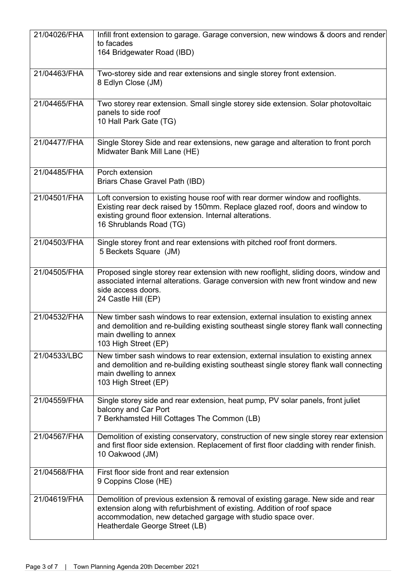| 21/04026/FHA | Infill front extension to garage. Garage conversion, new windows & doors and render<br>to facades<br>164 Bridgewater Road (IBD)                                                                                                                             |
|--------------|-------------------------------------------------------------------------------------------------------------------------------------------------------------------------------------------------------------------------------------------------------------|
| 21/04463/FHA | Two-storey side and rear extensions and single storey front extension.<br>8 Edlyn Close (JM)                                                                                                                                                                |
| 21/04465/FHA | Two storey rear extension. Small single storey side extension. Solar photovoltaic<br>panels to side roof<br>10 Hall Park Gate (TG)                                                                                                                          |
| 21/04477/FHA | Single Storey Side and rear extensions, new garage and alteration to front porch<br>Midwater Bank Mill Lane (HE)                                                                                                                                            |
| 21/04485/FHA | Porch extension<br>Briars Chase Gravel Path (IBD)                                                                                                                                                                                                           |
| 21/04501/FHA | Loft conversion to existing house roof with rear dormer window and rooflights.<br>Existing rear deck raised by 150mm. Replace glazed roof, doors and window to<br>existing ground floor extension. Internal alterations.<br>16 Shrublands Road (TG)         |
| 21/04503/FHA | Single storey front and rear extensions with pitched roof front dormers.<br>5 Beckets Square (JM)                                                                                                                                                           |
| 21/04505/FHA | Proposed single storey rear extension with new rooflight, sliding doors, window and<br>associated internal alterations. Garage conversion with new front window and new<br>side access doors.<br>24 Castle Hill (EP)                                        |
| 21/04532/FHA | New timber sash windows to rear extension, external insulation to existing annex<br>and demolition and re-building existing southeast single storey flank wall connecting<br>main dwelling to annex<br>103 High Street (EP)                                 |
| 21/04533/LBC | New timber sash windows to rear extension, external insulation to existing annex<br>and demolition and re-building existing southeast single storey flank wall connecting<br>main dwelling to annex<br>103 High Street (EP)                                 |
| 21/04559/FHA | Single storey side and rear extension, heat pump, PV solar panels, front juliet<br>balcony and Car Port<br>7 Berkhamsted Hill Cottages The Common (LB)                                                                                                      |
| 21/04567/FHA | Demolition of existing conservatory, construction of new single storey rear extension<br>and first floor side extension. Replacement of first floor cladding with render finish.<br>10 Oakwood (JM)                                                         |
| 21/04568/FHA | First floor side front and rear extension<br>9 Coppins Close (HE)                                                                                                                                                                                           |
| 21/04619/FHA | Demolition of previous extension & removal of existing garage. New side and rear<br>extension along with refurbishment of existing. Addition of roof space<br>accommodation, new detached gargage with studio space over.<br>Heatherdale George Street (LB) |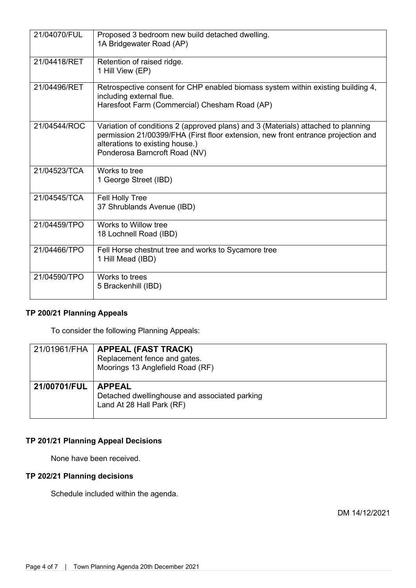| 21/04070/FUL | Proposed 3 bedroom new build detached dwelling.<br>1A Bridgewater Road (AP)                                                                                                                                                                |
|--------------|--------------------------------------------------------------------------------------------------------------------------------------------------------------------------------------------------------------------------------------------|
| 21/04418/RET | Retention of raised ridge.<br>1 Hill View (EP)                                                                                                                                                                                             |
| 21/04496/RET | Retrospective consent for CHP enabled biomass system within existing building 4,<br>including external flue.<br>Haresfoot Farm (Commercial) Chesham Road (AP)                                                                              |
| 21/04544/ROC | Variation of conditions 2 (approved plans) and 3 (Materials) attached to planning<br>permission 21/00399/FHA (First floor extension, new front entrance projection and<br>alterations to existing house.)<br>Ponderosa Barncroft Road (NV) |
| 21/04523/TCA | Works to tree<br>1 George Street (IBD)                                                                                                                                                                                                     |
| 21/04545/TCA | Fell Holly Tree<br>37 Shrublands Avenue (IBD)                                                                                                                                                                                              |
| 21/04459/TPO | Works to Willow tree<br>18 Lochnell Road (IBD)                                                                                                                                                                                             |
| 21/04466/TPO | Fell Horse chestnut tree and works to Sycamore tree<br>1 Hill Mead (IBD)                                                                                                                                                                   |
| 21/04590/TPO | Works to trees<br>5 Brackenhill (IBD)                                                                                                                                                                                                      |

### **TP 200/21 Planning Appeals**

To consider the following Planning Appeals:

|              | 21/01961/FHA   APPEAL (FAST TRACK)<br>Replacement fence and gates.<br>Moorings 13 Anglefield Road (RF) |
|--------------|--------------------------------------------------------------------------------------------------------|
| 21/00701/FUL | <b>APPEAL</b><br>Detached dwellinghouse and associated parking<br>Land At 28 Hall Park (RF)            |

## **TP 201/21 Planning Appeal Decisions**

None have been received.

### **TP 202/21 Planning decisions**

Schedule included within the agenda.

DM 14/12/2021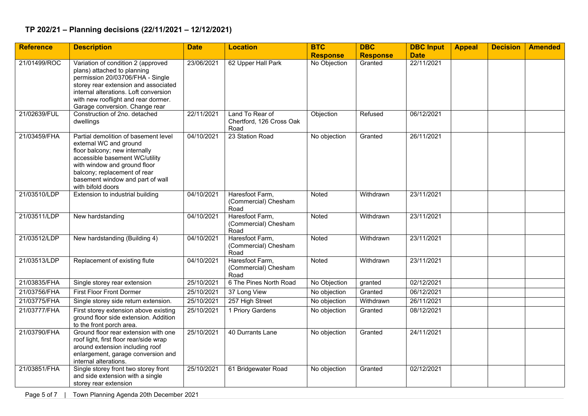#### **TP 202/21 – Planning decisions (22/11/2021 – 12/12/2021)**

| <b>Reference</b> | <b>Description</b>                                                                                                                                                                                                                                              | <b>Date</b> | <b>Location</b>                                     | <b>BTC</b>      | <b>DBC</b>      | <b>DBC Input</b> | <b>Appeal</b> | <b>Decision</b> | <b>Amended</b> |
|------------------|-----------------------------------------------------------------------------------------------------------------------------------------------------------------------------------------------------------------------------------------------------------------|-------------|-----------------------------------------------------|-----------------|-----------------|------------------|---------------|-----------------|----------------|
|                  |                                                                                                                                                                                                                                                                 |             |                                                     | <b>Response</b> | <b>Response</b> | <b>Date</b>      |               |                 |                |
| 21/01499/ROC     | Variation of condition 2 (approved<br>plans) attached to planning<br>permission 20/03706/FHA - Single<br>storey rear extension and associated<br>internal alterations. Loft conversion<br>with new rooflight and rear dormer.<br>Garage conversion. Change rear | 23/06/2021  | 62 Upper Hall Park                                  | No Objection    | Granted         | 22/11/2021       |               |                 |                |
| 21/02639/FUL     | Construction of 2no. detached<br>dwellings                                                                                                                                                                                                                      | 22/11/2021  | Land To Rear of<br>Chertford, 126 Cross Oak<br>Road | Objection       | Refused         | 06/12/2021       |               |                 |                |
| 21/03459/FHA     | Partial demolition of basement level<br>external WC and ground<br>floor balcony; new internally<br>accessible basement WC/utility<br>with window and ground floor<br>balcony; replacement of rear<br>basement window and part of wall<br>with bifold doors      | 04/10/2021  | 23 Station Road                                     | No objection    | Granted         | 26/11/2021       |               |                 |                |
| 21/03510/LDP     | Extension to industrial building                                                                                                                                                                                                                                | 04/10/2021  | Haresfoot Farm,<br>(Commercial) Chesham<br>Road     | Noted           | Withdrawn       | 23/11/2021       |               |                 |                |
| 21/03511/LDP     | New hardstanding                                                                                                                                                                                                                                                | 04/10/2021  | Haresfoot Farm,<br>(Commercial) Chesham<br>Road     | Noted           | Withdrawn       | 23/11/2021       |               |                 |                |
| 21/03512/LDP     | New hardstanding (Building 4)                                                                                                                                                                                                                                   | 04/10/2021  | Haresfoot Farm,<br>(Commercial) Chesham<br>Road     | Noted           | Withdrawn       | 23/11/2021       |               |                 |                |
| 21/03513/LDP     | Replacement of existing flute                                                                                                                                                                                                                                   | 04/10/2021  | Haresfoot Farm,<br>(Commercial) Chesham<br>Road     | Noted           | Withdrawn       | 23/11/2021       |               |                 |                |
| 21/03835/FHA     | Single storey rear extension                                                                                                                                                                                                                                    | 25/10/2021  | 6 The Pines North Road                              | No Objection    | granted         | 02/12/2021       |               |                 |                |
| 21/03756/FHA     | <b>First Floor Front Dormer</b>                                                                                                                                                                                                                                 | 25/10/2021  | 37 Long View                                        | No objection    | Granted         | 06/12/2021       |               |                 |                |
| 21/03775/FHA     | Single storey side return extension.                                                                                                                                                                                                                            | 25/10/2021  | 257 High Street                                     | No objection    | Withdrawn       | 26/11/2021       |               |                 |                |
| 21/03777/FHA     | First storey extension above existing<br>ground floor side extension. Addition<br>to the front porch area.                                                                                                                                                      | 25/10/2021  | 1 Priory Gardens                                    | No objection    | Granted         | 08/12/2021       |               |                 |                |
| 21/03790/FHA     | Ground floor rear extension with one<br>roof light, first floor rear/side wrap<br>around extension including roof<br>enlargement, garage conversion and<br>internal alterations.                                                                                | 25/10/2021  | 40 Durrants Lane                                    | No objection    | Granted         | 24/11/2021       |               |                 |                |
| 21/03851/FHA     | Single storey front two storey front<br>and side extension with a single<br>storey rear extension                                                                                                                                                               | 25/10/2021  | 61 Bridgewater Road                                 | No objection    | Granted         | 02/12/2021       |               |                 |                |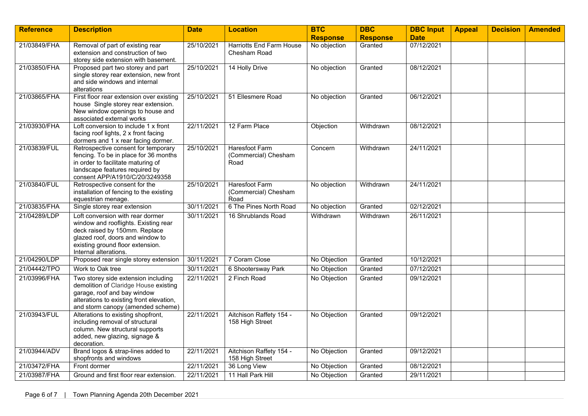| <b>Reference</b> | <b>Description</b>                                                                                                                                                                                         | <b>Date</b> | <b>Location</b>                                       | <b>BTC</b>      | <b>DBC</b>      | <b>DBC Input</b> | <b>Appeal</b> | <b>Decision</b> | <b>Amended</b> |
|------------------|------------------------------------------------------------------------------------------------------------------------------------------------------------------------------------------------------------|-------------|-------------------------------------------------------|-----------------|-----------------|------------------|---------------|-----------------|----------------|
|                  |                                                                                                                                                                                                            |             |                                                       | <b>Response</b> | <b>Response</b> | <b>Date</b>      |               |                 |                |
| 21/03849/FHA     | Removal of part of existing rear<br>extension and construction of two<br>storey side extension with basement.                                                                                              | 25/10/2021  | <b>Harriotts End Farm House</b><br>Chesham Road       | No objection    | Granted         | 07/12/2021       |               |                 |                |
| 21/03850/FHA     | Proposed part two storey and part<br>single storey rear extension, new front<br>and side windows and internal<br>alterations                                                                               | 25/10/2021  | 14 Holly Drive                                        | No objection    | Granted         | 08/12/2021       |               |                 |                |
| 21/03865/FHA     | First floor rear extension over existing<br>house Single storey rear extension.<br>New window openings to house and<br>associated external works                                                           | 25/10/2021  | 51 Ellesmere Road                                     | No objection    | Granted         | 06/12/2021       |               |                 |                |
| 21/03930/FHA     | Loft conversion to include 1 x front<br>facing roof lights, 2 x front facing<br>dormers and 1 x rear facing dormer.                                                                                        | 22/11/2021  | 12 Farm Place                                         | Objection       | Withdrawn       | 08/12/2021       |               |                 |                |
| 21/03839/FUL     | Retrospective consent for temporary<br>fencing. To be in place for 36 months<br>in order to facilitate maturing of<br>landscape features required by<br>consent APP/A1910/C/20/3249358                     | 25/10/2021  | <b>Haresfoot Farm</b><br>(Commercial) Chesham<br>Road | Concern         | Withdrawn       | 24/11/2021       |               |                 |                |
| 21/03840/FUL     | Retrospective consent for the<br>installation of fencing to the existing<br>equestrian menage.                                                                                                             | 25/10/2021  | Haresfoot Farm<br>(Commercial) Chesham<br>Road        | No objection    | Withdrawn       | 24/11/2021       |               |                 |                |
| 21/03835/FHA     | Single storey rear extension                                                                                                                                                                               | 30/11/2021  | 6 The Pines North Road                                | No objection    | Granted         | 02/12/2021       |               |                 |                |
| 21/04289/LDP     | Loft conversion with rear dormer<br>window and rooflights. Existing rear<br>deck raised by 150mm. Replace<br>glazed roof, doors and window to<br>existing ground floor extension.<br>Internal alterations. | 30/11/2021  | 16 Shrublands Road                                    | Withdrawn       | Withdrawn       | 26/11/2021       |               |                 |                |
| 21/04290/LDP     | Proposed rear single storey extension                                                                                                                                                                      | 30/11/2021  | 7 Coram Close                                         | No Objection    | Granted         | 10/12/2021       |               |                 |                |
| 21/04442/TPO     | Work to Oak tree                                                                                                                                                                                           | 30/11/2021  | 6 Shootersway Park                                    | No Objection    | Granted         | 07/12/2021       |               |                 |                |
| 21/03996/FHA     | Two storey side extension including<br>demolition of Claridge House existing<br>garage, roof and bay window<br>alterations to existing front elevation,<br>and storm canopy (amended scheme)               | 22/11/2021  | 2 Finch Road                                          | No Objection    | Granted         | 09/12/2021       |               |                 |                |
| 21/03943/FUL     | Alterations to existing shopfront,<br>including removal of structural<br>column. New structural supports<br>added, new glazing, signage &<br>decoration.                                                   | 22/11/2021  | Aitchison Raffety 154 -<br>158 High Street            | No Objection    | Granted         | 09/12/2021       |               |                 |                |
| 21/03944/ADV     | Brand logos & strap-lines added to<br>shopfronts and windows                                                                                                                                               | 22/11/2021  | Aitchison Raffety 154 -<br>158 High Street            | No Objection    | Granted         | 09/12/2021       |               |                 |                |
| 21/03472/FHA     | Front dormer                                                                                                                                                                                               | 22/11/2021  | 36 Long View                                          | No Objection    | Granted         | 08/12/2021       |               |                 |                |
| 21/03987/FHA     | Ground and first floor rear extension.                                                                                                                                                                     | 22/11/2021  | 11 Hall Park Hill                                     | No Objection    | Granted         | 29/11/2021       |               |                 |                |